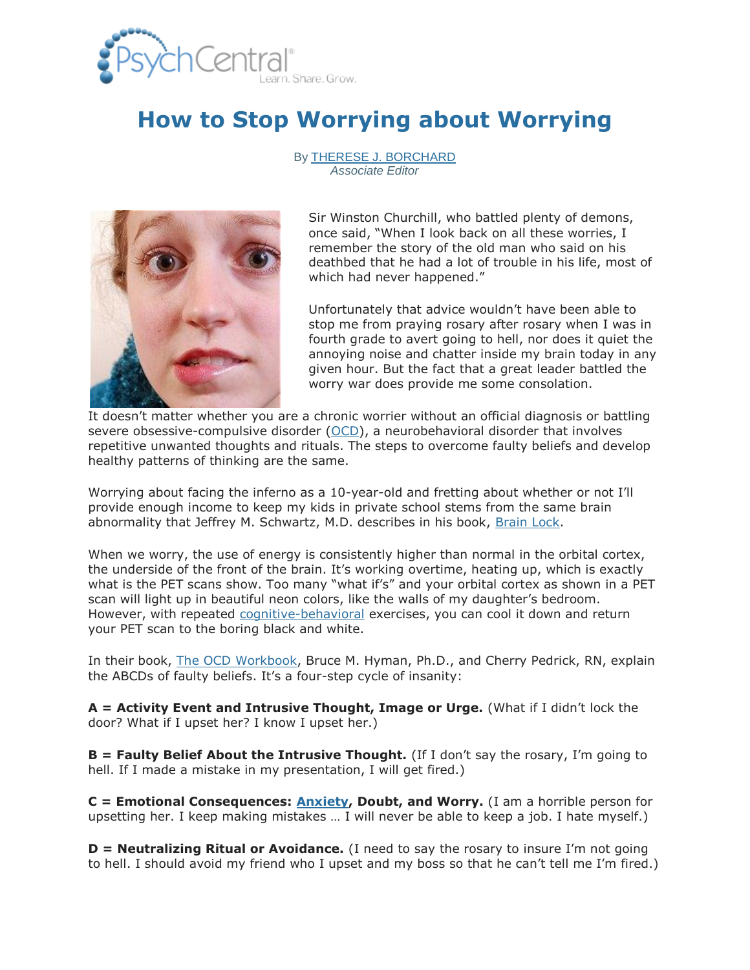

# **[How to Stop Worrying about Worrying](http://psychcentral.com/blog/archives/2013/04/03/how-to-stop-worrying-about-worrying/)**

By [THERESE J. BORCHARD](http://psychcentral.com/blog/archives/author/thereseb/) *Associate Editor*



Sir Winston Churchill, who battled plenty of demons, once said, "When I look back on all these worries, I remember the story of the old man who said on his deathbed that he had a lot of trouble in his life, most of which had never happened."

Unfortunately that advice wouldn't have been able to stop me from praying rosary after rosary when I was in fourth grade to avert going to hell, nor does it quiet the annoying noise and chatter inside my brain today in any given hour. But the fact that a great leader battled the worry war does provide me some consolation.

It doesn't matter whether you are a chronic worrier without an official diagnosis or battling severe obsessive-compulsive disorder [\(OCD\)](http://psychcentral.com/disorders/ocd/), a neurobehavioral disorder that involves repetitive unwanted thoughts and rituals. The steps to overcome faulty beliefs and develop healthy patterns of thinking are the same.

Worrying about facing the inferno as a 10-year-old and fretting about whether or not I'll provide enough income to keep my kids in private school stems from the same brain abnormality that Jeffrey M. Schwartz, M.D. describes in his book, [Brain Lock.](http://www.amazon.com/Brain-Lock-Yourself-Obsessive-Compulsive-Behavior/dp/0060987111/psychcentral)

When we worry, the use of energy is consistently higher than normal in the orbital cortex, the underside of the front of the brain. It's working overtime, heating up, which is exactly what is the PET scans show. Too many "what if's" and your orbital cortex as shown in a PET scan will light up in beautiful neon colors, like the walls of my daughter's bedroom. However, with repeated [cognitive-behavioral](http://psychcentral.com/lib/2006/about-cognitive-psychotherapy/) exercises, you can cool it down and return your PET scan to the boring black and white.

In their book, [The OCD Workbook,](http://www.amazon.com/OCD-Workbook-Breaking-Obsessive-Compulsive-Disorder/dp/1572249218/psychcentral) Bruce M. Hyman, Ph.D., and Cherry Pedrick, RN, explain the ABCDs of faulty beliefs. It's a four-step cycle of insanity:

**A = Activity Event and Intrusive Thought, Image or Urge.** (What if I didn't lock the door? What if I upset her? I know I upset her.)

**B = Faulty Belief About the Intrusive Thought.** (If I don't say the rosary, I'm going to hell. If I made a mistake in my presentation, I will get fired.)

**C = Emotional Consequences: [Anxiety,](http://psychcentral.com/disorders/anxiety/) Doubt, and Worry.** (I am a horrible person for upsetting her. I keep making mistakes … I will never be able to keep a job. I hate myself.)

**D = Neutralizing Ritual or Avoidance.** (I need to say the rosary to insure I'm not going to hell. I should avoid my friend who I upset and my boss so that he can't tell me I'm fired.)